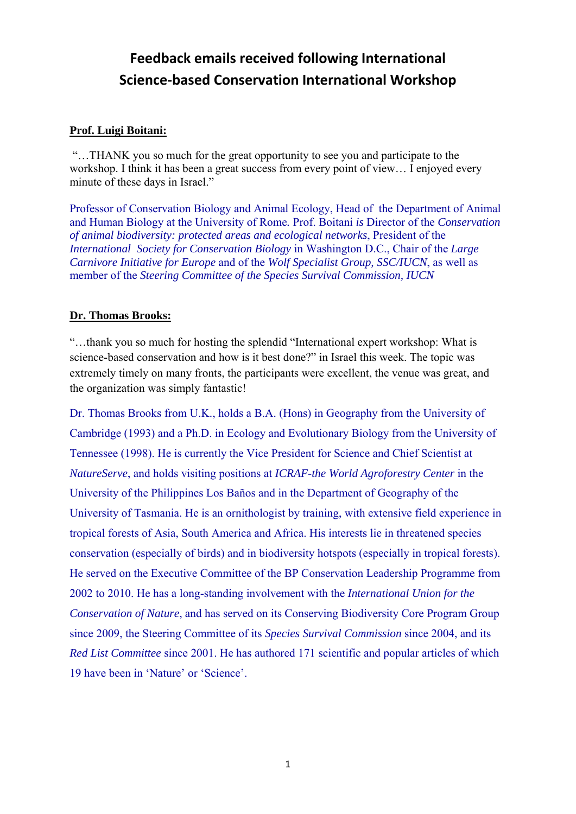# **Feedback emails received following International Science‐based Conservation International Workshop**

# **Prof. Luigi Boitani:**

 "…THANK you so much for the great opportunity to see you and participate to the workshop. I think it has been a great success from every point of view… I enjoyed every minute of these days in Israel."

Professor of Conservation Biology and Animal Ecology, Head of the Department of Animal and Human Biology at the University of Rome*.* Prof. Boitani *is* Director of the *Conservation of animal biodiversity: protected areas and ecological networks*, President of the *International Society for Conservation Biology* in Washington D.C., Chair of the *Large Carnivore Initiative for Europe* and of the *Wolf Specialist Group, SSC/IUCN*, as well as member of the *Steering Committee of the Species Survival Commission, IUCN* 

### **Dr. Thomas Brooks:**

"…thank you so much for hosting the splendid "International expert workshop: What is science-based conservation and how is it best done?" in Israel this week. The topic was extremely timely on many fronts, the participants were excellent, the venue was great, and the organization was simply fantastic!

Dr. Thomas Brooks from U.K., holds a B.A. (Hons) in Geography from the University of Cambridge (1993) and a Ph.D. in Ecology and Evolutionary Biology from the University of Tennessee (1998). He is currently the Vice President for Science and Chief Scientist at *NatureServe*, and holds visiting positions at *ICRAF-the World Agroforestry Center* in the University of the Philippines Los Baños and in the Department of Geography of the University of Tasmania. He is an ornithologist by training, with extensive field experience in tropical forests of Asia, South America and Africa. His interests lie in threatened species conservation (especially of birds) and in biodiversity hotspots (especially in tropical forests). He served on the Executive Committee of the BP Conservation Leadership Programme from 2002 to 2010. He has a long-standing involvement with the *International Union for the Conservation of Nature*, and has served on its Conserving Biodiversity Core Program Group since 2009, the Steering Committee of its *Species Survival Commission* since 2004, and its *Red List Committee* since 2001. He has authored 171 scientific and popular articles of which 19 have been in 'Nature' or 'Science'.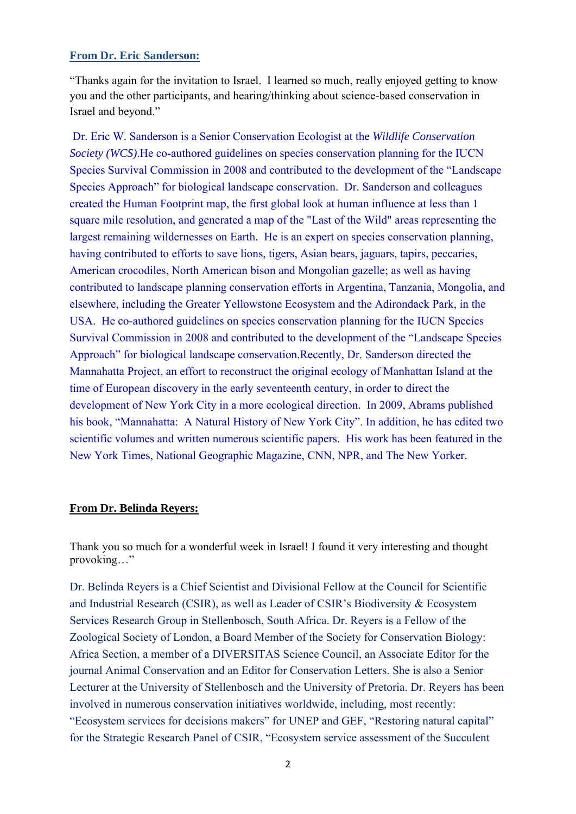### **From Dr. Eric Sanderson:**

"Thanks again for the invitation to Israel. I learned so much, really enjoyed getting to know you and the other participants, and hearing/thinking about science-based conservation in Israel and beyond."

Dr. Eric W. Sanderson is a Senior Conservation Ecologist at the *Wildlife Conservation Society (WCS)*.He co-authored guidelines on species conservation planning for the IUCN Species Survival Commission in 2008 and contributed to the development of the "Landscape Species Approach" for biological landscape conservation. Dr. Sanderson and colleagues created the Human Footprint map, the first global look at human influence at less than 1 square mile resolution, and generated a map of the "Last of the Wild" areas representing the largest remaining wildernesses on Earth. He is an expert on species conservation planning, having contributed to efforts to save lions, tigers, Asian bears, jaguars, tapirs, peccaries, American crocodiles, North American bison and Mongolian gazelle; as well as having contributed to landscape planning conservation efforts in Argentina, Tanzania, Mongolia, and elsewhere, including the Greater Yellowstone Ecosystem and the Adirondack Park, in the USA. He co-authored guidelines on species conservation planning for the IUCN Species Survival Commission in 2008 and contributed to the development of the "Landscape Species Approach" for biological landscape conservation.Recently, Dr. Sanderson directed the Mannahatta Project, an effort to reconstruct the original ecology of Manhattan Island at the time of European discovery in the early seventeenth century, in order to direct the development of New York City in a more ecological direction. In 2009, Abrams published his book, "Mannahatta: A Natural History of New York City". In addition, he has edited two scientific volumes and written numerous scientific papers. His work has been featured in the New York Times, National Geographic Magazine, CNN, NPR, and The New Yorker.

#### **From Dr. Belinda Reyers:**

Thank you so much for a wonderful week in Israel! I found it very interesting and thought provoking…"

Dr. Belinda Reyers is a Chief Scientist and Divisional Fellow at the Council for Scientific and Industrial Research (CSIR), as well as Leader of CSIR's Biodiversity & Ecosystem Services Research Group in Stellenbosch, South Africa. Dr. Reyers is a Fellow of the Zoological Society of London, a Board Member of the Society for Conservation Biology: Africa Section, a member of a DIVERSITAS Science Council, an Associate Editor for the journal Animal Conservation and an Editor for Conservation Letters. She is also a Senior Lecturer at the University of Stellenbosch and the University of Pretoria. Dr. Reyers has been involved in numerous conservation initiatives worldwide, including, most recently: "Ecosystem services for decisions makers" for UNEP and GEF, "Restoring natural capital" for the Strategic Research Panel of CSIR, "Ecosystem service assessment of the Succulent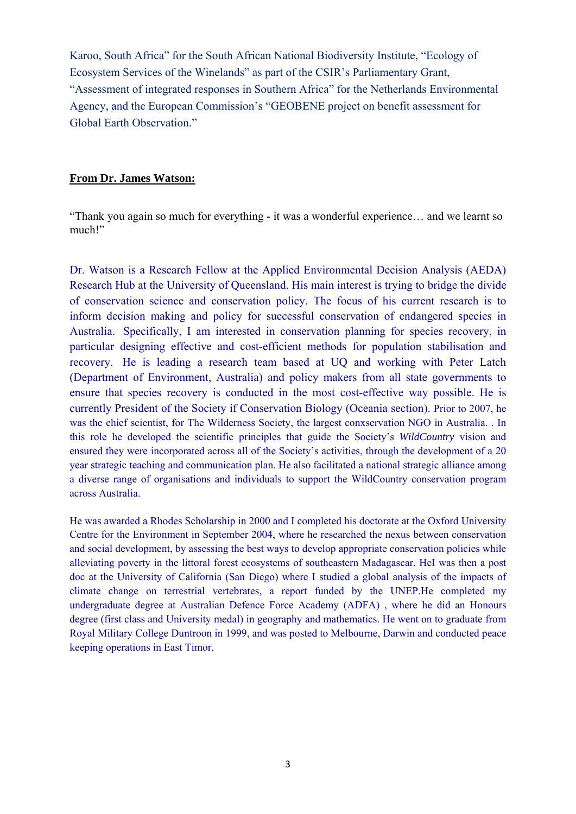Karoo, South Africa" for the South African National Biodiversity Institute, "Ecology of Ecosystem Services of the Winelands" as part of the CSIR's Parliamentary Grant, "Assessment of integrated responses in Southern Africa" for the Netherlands Environmental Agency, and the European Commission's "GEOBENE project on benefit assessment for Global Earth Observation."

## **From Dr. James Watson:**

"Thank you again so much for everything - it was a wonderful experience… and we learnt so much!"

Dr. Watson is a Research Fellow at the Applied Environmental Decision Analysis (AEDA) Research Hub at the University of Queensland. His main interest is trying to bridge the divide of conservation science and conservation policy. The focus of his current research is to inform decision making and policy for successful conservation of endangered species in Australia. Specifically, I am interested in conservation planning for species recovery, in particular designing effective and cost-efficient methods for population stabilisation and recovery. He is leading a research team based at UQ and working with Peter Latch (Department of Environment, Australia) and policy makers from all state governments to ensure that species recovery is conducted in the most cost-effective way possible. He is currently President of the Society if Conservation Biology (Oceania section). Prior to 2007, he was the chief scientist, for The Wilderness Society, the largest conxservation NGO in Australia. . In this role he developed the scientific principles that guide the Society's *WildCountry* vision and ensured they were incorporated across all of the Society's activities, through the development of a 20 year strategic teaching and communication plan. He also facilitated a national strategic alliance among a diverse range of organisations and individuals to support the WildCountry conservation program across Australia.

He was awarded a Rhodes Scholarship in 2000 and I completed his doctorate at the Oxford University Centre for the Environment in September 2004, where he researched the nexus between conservation and social development, by assessing the best ways to develop appropriate conservation policies while alleviating poverty in the littoral forest ecosystems of southeastern Madagascar. HeI was then a post doc at the University of California (San Diego) where I studied a global analysis of the impacts of climate change on terrestrial vertebrates, a report funded by the UNEP.He completed my undergraduate degree at Australian Defence Force Academy (ADFA) , where he did an Honours degree (first class and University medal) in geography and mathematics. He went on to graduate from Royal Military College Duntroon in 1999, and was posted to Melbourne, Darwin and conducted peace keeping operations in East Timor.